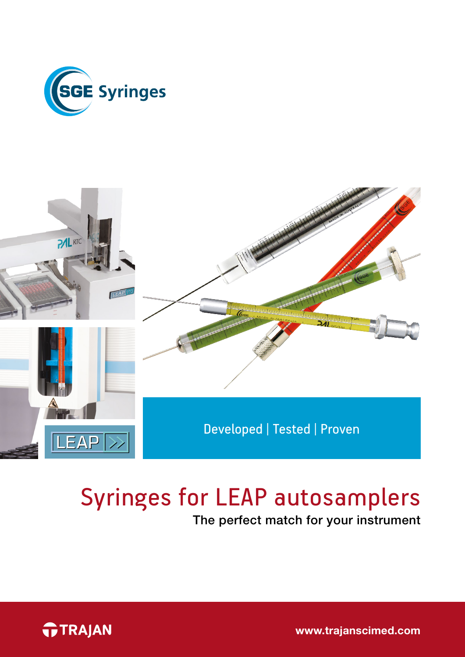



# Syringes for LEAP autosamplers

The perfect match for your instrument



[www.trajanscimed.com](http://www.trajanscimed.com)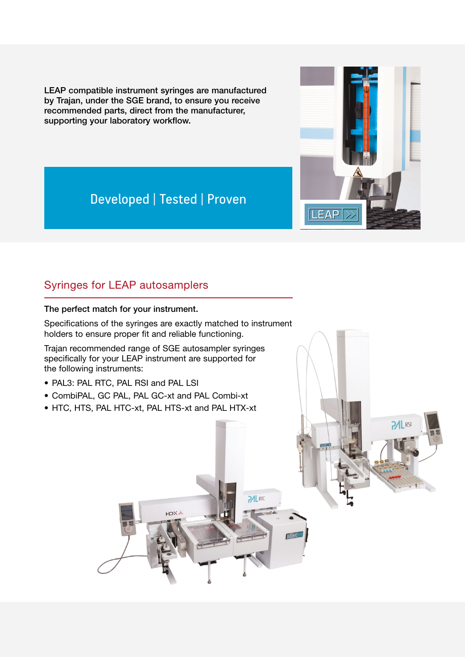LEAP compatible instrument syringes are manufactured by Trajan, under the SGE brand, to ensure you receive recommended parts, direct from the manufacturer, supporting your laboratory workflow.



# Developed | Tested | Proven

## Syringes for LEAP autosamplers

#### The perfect match for your instrument.

Specifications of the syringes are exactly matched to instrument holders to ensure proper fit and reliable functioning.

Trajan recommended range of SGE autosampler syringes specifically for your LEAP instrument are supported for the following instruments:

- PAL3: PAL RTC, PAL RSI and PAL LSI
- CombiPAL, GC PAL, PAL GC-xt and PAL Combi-xt
- HTC, HTS, PAL HTC-xt, PAL HTS-xt and PAL HTX-xt

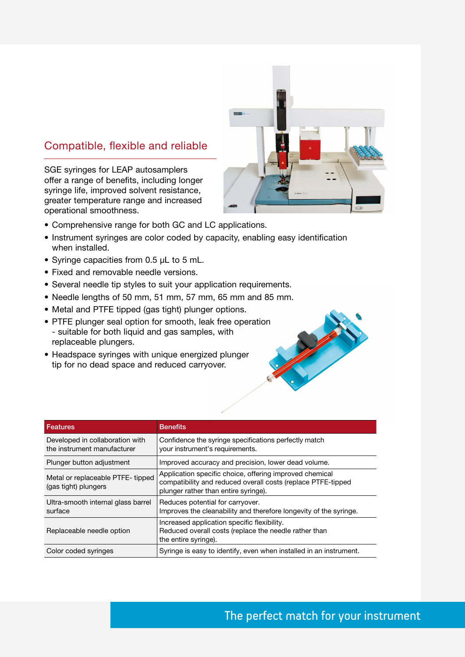### Compatible, flexible and reliable

SGE syringes for LEAP autosamplers offer a range of benefits, including longer syringe life, improved solvent resistance, greater temperature range and increased operational smoothness.

- Comprehensive range for both GC and LC applications.
- Instrument syringes are color coded by capacity, enabling easy identification when installed.
- Syringe capacities from 0.5 µL to 5 mL.
- Fixed and removable needle versions.
- Several needle tip styles to suit your application requirements.
- Needle lengths of 50 mm, 51 mm, 57 mm, 65 mm and 85 mm.
- Metal and PTFE tipped (gas tight) plunger options.
- PTFE plunger seal option for smooth, leak free operation - suitable for both liquid and gas samples, with replaceable plungers.
- Headspace syringes with unique energized plunger tip for no dead space and reduced carryover.

| Features                                                       | <b>Benefits</b>                                                                                                                                                 |
|----------------------------------------------------------------|-----------------------------------------------------------------------------------------------------------------------------------------------------------------|
| Developed in collaboration with<br>the instrument manufacturer | Confidence the syringe specifications perfectly match<br>your instrument's requirements.                                                                        |
| Plunger button adjustment                                      | Improved accuracy and precision, lower dead volume.                                                                                                             |
| Metal or replaceable PTFE- tipped<br>(gas tight) plungers      | Application specific choice, offering improved chemical<br>compatibility and reduced overall costs (replace PTFE-tipped<br>plunger rather than entire syringe). |
| Ultra-smooth internal glass barrel<br>surface                  | Reduces potential for carryover.<br>Improves the cleanability and therefore longevity of the syringe.                                                           |
| Replaceable needle option                                      | Increased application specific flexibility.<br>Reduced overall costs (replace the needle rather than<br>the entire syringe).                                    |
| Color coded syringes                                           | Syringe is easy to identify, even when installed in an instrument.                                                                                              |